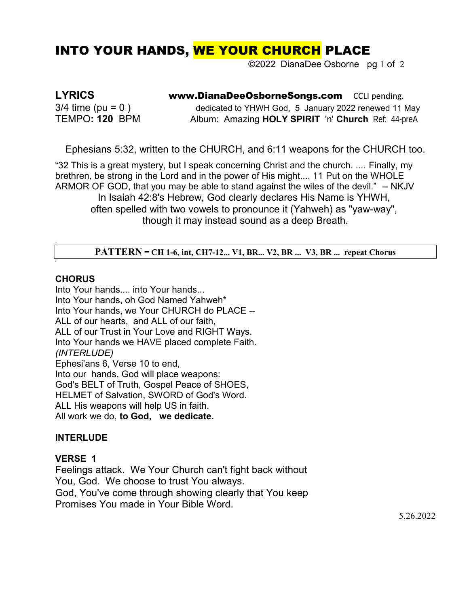# INTO YOUR HANDS, WE YOUR CHURCH PLACE

©2022 DianaDee Osborne pg 1 of 2

**LYRICS www.DianaDeeOsborneSongs.com** CCLI pending.  $3/4$  time (pu = 0) dedicated to YHWH God, 5 January 2022 renewed 11 May TEMPO**: 120** BPM Album: Amazing **HOLY SPIRIT** 'n' **Church** Ref: 44-preA

Ephesians 5:32, written to the CHURCH, and 6:11 weapons for the CHURCH too.

"32 This is a great mystery, but I speak concerning Christ and the church. .... Finally, my brethren, be strong in the Lord and in the power of His might.... 11 Put on the WHOLE ARMOR OF GOD, that you may be able to stand against the wiles of the devil." -- NKJV In Isaiah 42:8's Hebrew, God clearly declares His Name is YHWH, often spelled with two vowels to pronounce it (Yahweh) as "yaw-way", though it may instead sound as a deep Breath.

### **PATTERN = CH 1-6, int, CH7-12... V1, BR... V2, BR ... V3, BR ... repeat Chorus**

### **CHORUS**

.

Into Your hands.... into Your hands... Into Your hands, oh God Named Yahweh\* Into Your hands, we Your CHURCH do PLACE -- ALL of our hearts, and ALL of our faith, ALL of our Trust in Your Love and RIGHT Ways. Into Your hands we HAVE placed complete Faith. *(INTERLUDE)* Ephesi'ans 6, Verse 10 to end, Into our hands, God will place weapons: God's BELT of Truth, Gospel Peace of SHOES, HELMET of Salvation, SWORD of God's Word. ALL His weapons will help US in faith. All work we do, **to God, we dedicate.**

### **INTERLUDE**

### **VERSE 1**

Feelings attack. We Your Church can't fight back without You, God. We choose to trust You always. God, You've come through showing clearly that You keep Promises You made in Your Bible Word.